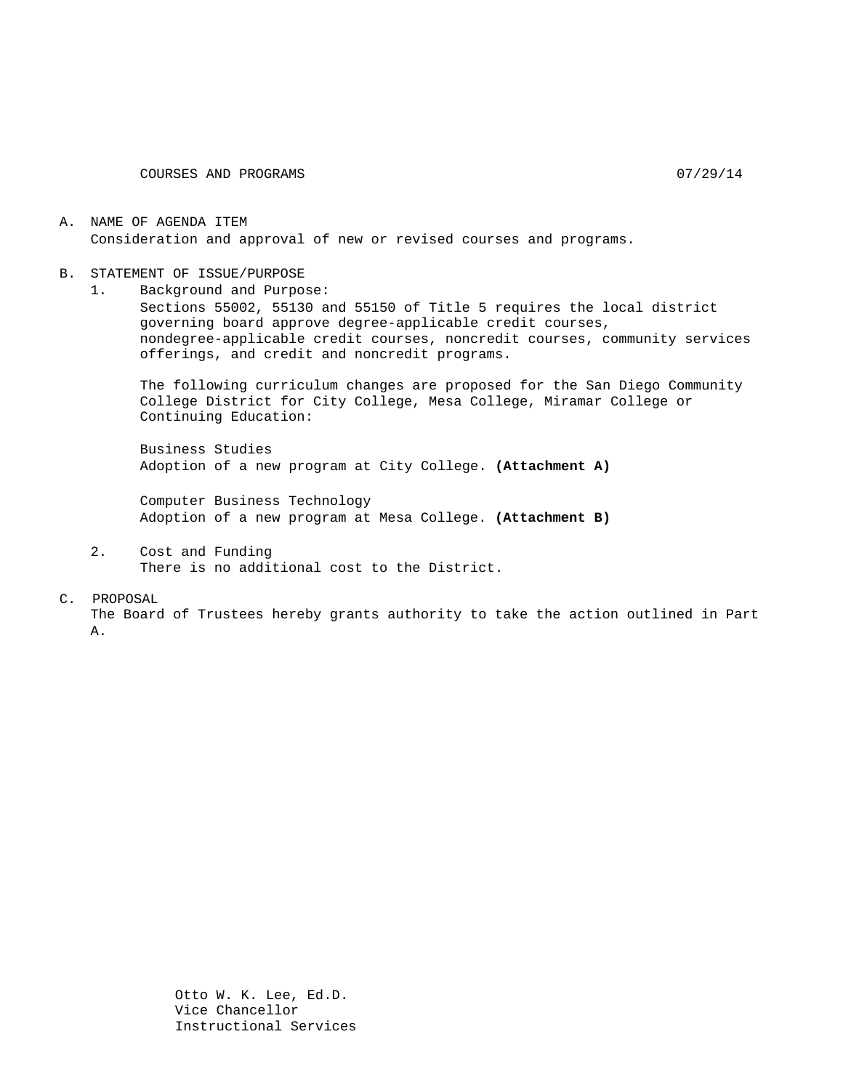COURSES AND PROGRAMS 07/29/14

#### A. NAME OF AGENDA ITEM Consideration and approval of new or revised courses and programs.

#### B. STATEMENT OF ISSUE/PURPOSE

1. Background and Purpose: Sections 55002, 55130 and 55150 of Title 5 requires the local district governing board approve degree-applicable credit courses, nondegree-applicable credit courses, noncredit courses, community services offerings, and credit and noncredit programs.

The following curriculum changes are proposed for the San Diego Community College District for City College, Mesa College, Miramar College or Continuing Education:

Business Studies Adoption of a new program at City College. **(Attachment A)**

Computer Business Technology Adoption of a new program at Mesa College. **(Attachment B)**

2. Cost and Funding There is no additional cost to the District.

#### C. PROPOSAL

The Board of Trustees hereby grants authority to take the action outlined in Part A.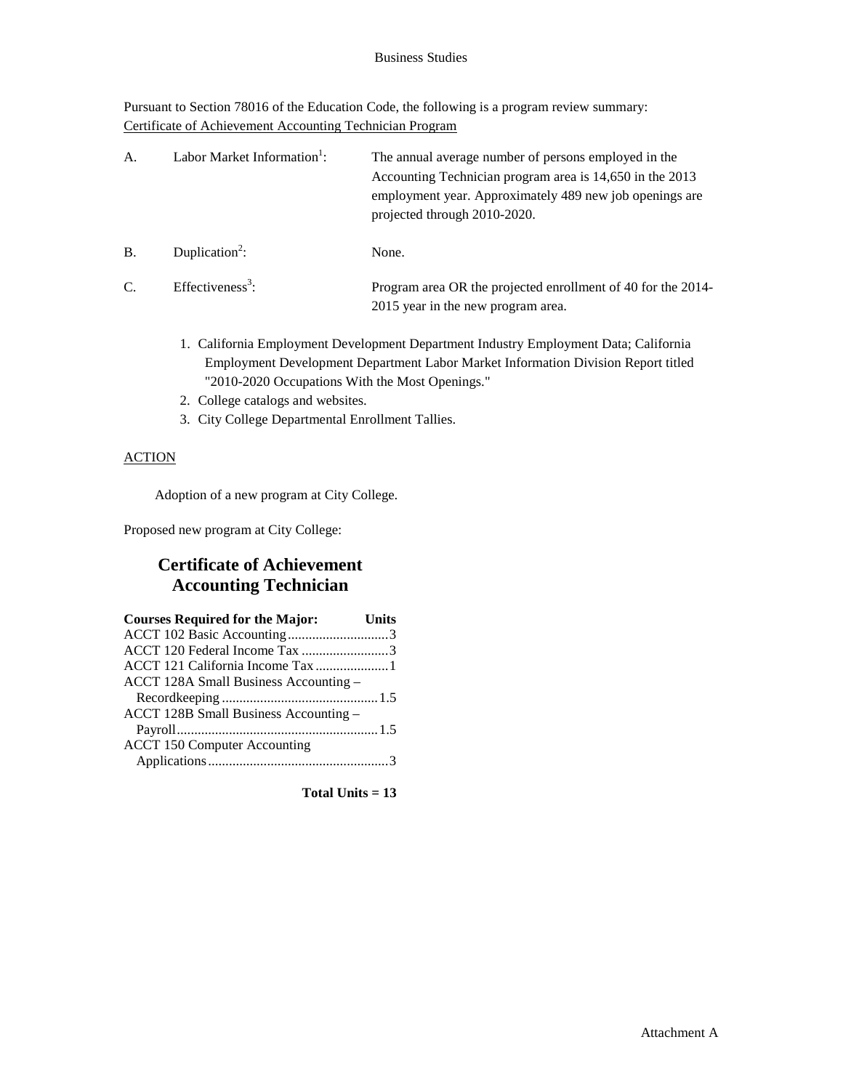Pursuant to Section 78016 of the Education Code, the following is a program review summary: Certificate of Achievement Accounting Technician Program

| A.        | Labor Market Information <sup>1</sup> : | The annual average number of persons employed in the<br>Accounting Technician program area is 14,650 in the 2013<br>employment year. Approximately 489 new job openings are<br>projected through 2010-2020. |
|-----------|-----------------------------------------|-------------------------------------------------------------------------------------------------------------------------------------------------------------------------------------------------------------|
| <b>B.</b> | Duplication <sup>2</sup> :              | None.                                                                                                                                                                                                       |
| C.        | Effectiveness <sup>3</sup> :            | Program area OR the projected enrollment of 40 for the 2014-<br>2015 year in the new program area.                                                                                                          |

- 1. California Employment Development Department Industry Employment Data; California Employment Development Department Labor Market Information Division Report titled "2010-2020 Occupations With the Most Openings."
- 2. College catalogs and websites.
- 3. City College Departmental Enrollment Tallies.

### **ACTION**

Adoption of a new program at City College.

Proposed new program at City College:

# **Certificate of Achievement Accounting Technician**

| <b>Courses Required for the Major:</b> | Units |
|----------------------------------------|-------|
| ACCT 102 Basic Accounting3             |       |
| ACCT 120 Federal Income Tax 3          |       |
| ACCT 121 California Income Tax 1       |       |
| ACCT 128A Small Business Accounting -  |       |
|                                        |       |
| ACCT 128B Small Business Accounting -  |       |
|                                        |       |
| <b>ACCT 150 Computer Accounting</b>    |       |
|                                        |       |

**Total Units = 13**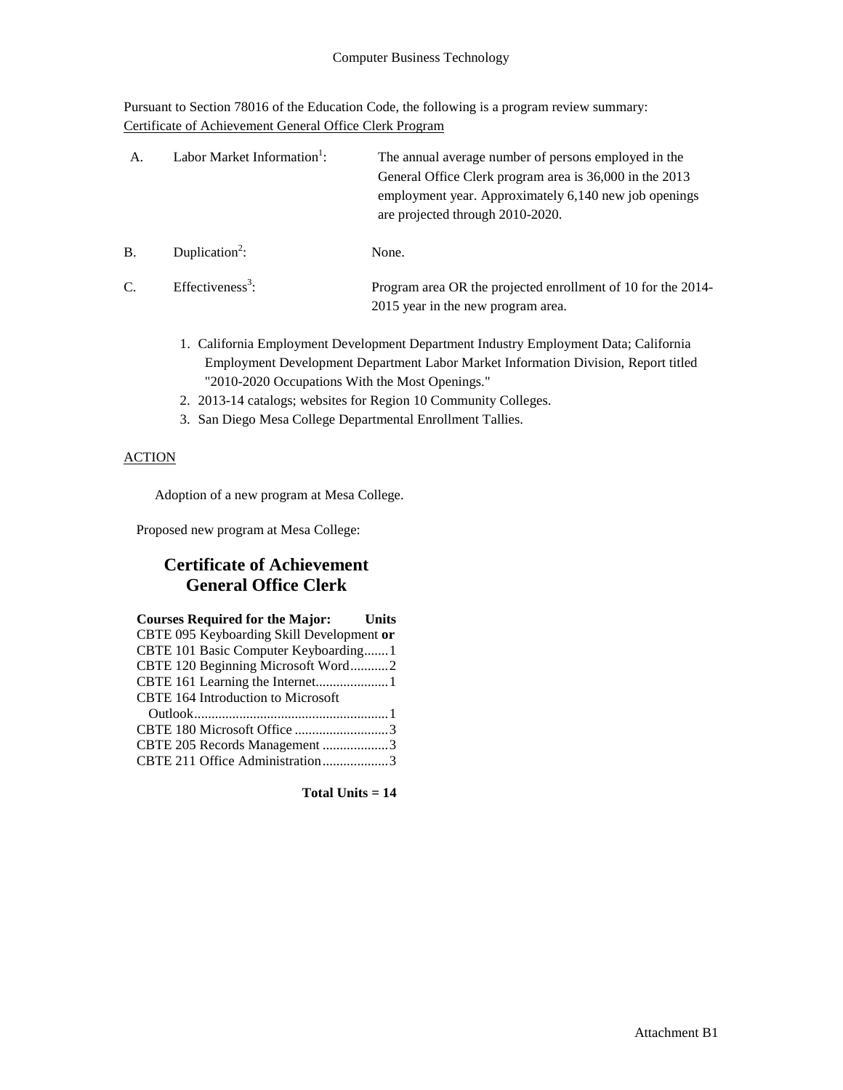Pursuant to Section 78016 of the Education Code, the following is a program review summary: Certificate of Achievement General Office Clerk Program

| А. | Labor Market Information <sup>1</sup> : | The annual average number of persons employed in the<br>General Office Clerk program area is 36,000 in the 2013<br>employment year. Approximately 6,140 new job openings<br>are projected through 2010-2020. |
|----|-----------------------------------------|--------------------------------------------------------------------------------------------------------------------------------------------------------------------------------------------------------------|
| B. | Duplication <sup>2</sup> :              | None.                                                                                                                                                                                                        |
| C. | Effectiveness <sup>3</sup> :            | Program area OR the projected enrollment of 10 for the 2014-<br>2015 year in the new program area.                                                                                                           |

- 1. California Employment Development Department Industry Employment Data; California Employment Development Department Labor Market Information Division, Report titled "2010-2020 Occupations With the Most Openings."
- 2. 2013-14 catalogs; websites for Region 10 Community Colleges.
- 3. San Diego Mesa College Departmental Enrollment Tallies.

### **ACTION**

Adoption of a new program at Mesa College.

Proposed new program at Mesa College:

# **Certificate of Achievement General Office Clerk**

| <b>Courses Required for the Major:</b> Units |  |
|----------------------------------------------|--|
| CBTE 095 Keyboarding Skill Development or    |  |
| CBTE 101 Basic Computer Keyboarding1         |  |
| CBTE 120 Beginning Microsoft Word2           |  |
| CBTE 161 Learning the Internet1              |  |
| <b>CBTE 164 Introduction to Microsoft</b>    |  |
|                                              |  |
| CBTE 180 Microsoft Office 3                  |  |
| CBTE 205 Records Management 3                |  |
| CBTE 211 Office Administration3              |  |

**Total Units = 14**